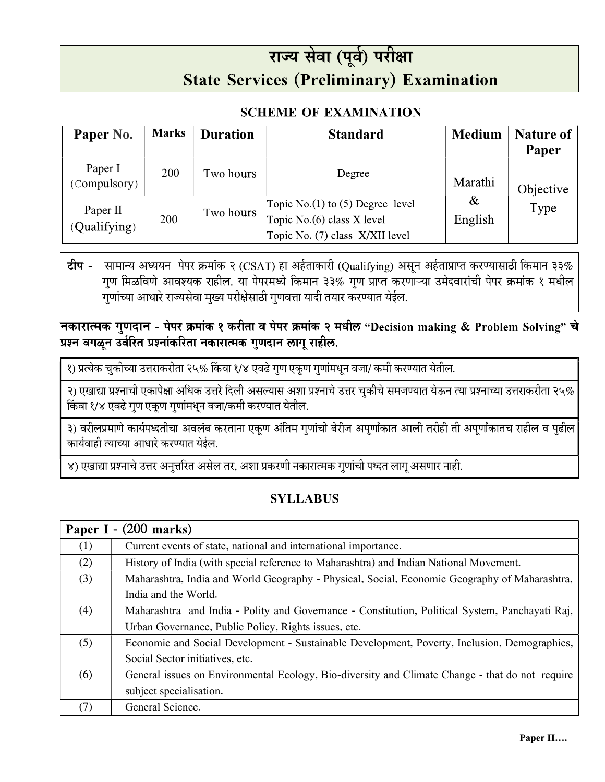## राज्य सेवा (पूर्व) परीक्षा **State Services (Preliminary) Examination**

## **SCHEME OF EXAMINATION**

| Paper No.                | <b>Marks</b> | <b>Duration</b> | <b>Standard</b>                                                                                        | <b>Medium</b>              | <b>Nature of</b><br>Paper |
|--------------------------|--------------|-----------------|--------------------------------------------------------------------------------------------------------|----------------------------|---------------------------|
| Paper I<br>(Compulsory)  | 200          | Two hours       | Degree                                                                                                 | Marathi<br>$\&$<br>English | Objective<br>Type         |
| Paper II<br>(Qualifying) | 200          | Two hours       | Topic No. $(1)$ to $(5)$ Degree level<br>Topic No.(6) class X level<br>Topic No. (7) class X/XII level |                            |                           |

सामान्य अध्ययन पेपर क्रमांक २ (CSAT) हा अर्हताकारी (Qualifying) असून अर्हताप्राप्त करण्यासाठी किमान ३३% टीप -गुण मिळविणे आवश्यक राहील. या पेपरमध्ये किमान ३३% गुण प्राप्त करणाऱ्या उमेदवारांची पेपर क्रमांक १ मधील गुणांच्या आधारे राज्यसेवा मुख्य परीक्षेसाठी गुणवत्ता यादी तयार करण्यात येईल.

## नकारात्मक गुणदान - पेपर क्रमांक १ करीता व पेपर क्रमांक २ मधील "Decision making & Problem Solving" चे प्रश्न वगळून उर्वरित प्रश्नांकरिता नकारात्मक गुणदान लागू राहील.

१) प्रत्येक चुकीच्या उत्तराकरीता २५% किंवा १/४ एवढे गुण एकूण गुणांमधून वजा/ कमी करण्यात येतील.

२) एखाद्या प्रश्नाची एकापेक्षा अधिक उत्तरे दिली असल्यास अशा प्रश्नाचे उत्तर चुकीचे समजण्यात येऊन त्या प्रश्नाच्या उत्तराकरीता २५% किंवा १/४ एवढे गुण एकूण गुणांमधून वजा/कमी करण्यात येतील.

३) वरीलप्रमाणे कार्यपध्दतीचा अवलंब करताना एकूण अंतिम गुणांची बेरीज अपूर्णांकात आली तरीही ती अपूर्णांकातच राहील व पुढील कार्यवाही त्याच्या आधारे करण्यात येईल.

४) एखाद्या प्रश्नाचे उत्तर अनुत्तरित असेल तर, अशा प्रकरणी नकारात्मक गुणांची पध्दत लागू असणार नाही.

## **SYLLABUS**

| Paper I - (200 marks) |                                                                                                 |  |  |  |
|-----------------------|-------------------------------------------------------------------------------------------------|--|--|--|
| (1)                   | Current events of state, national and international importance.                                 |  |  |  |
| (2)                   | History of India (with special reference to Maharashtra) and Indian National Movement.          |  |  |  |
| (3)                   | Maharashtra, India and World Geography - Physical, Social, Economic Geography of Maharashtra,   |  |  |  |
|                       | India and the World.                                                                            |  |  |  |
| (4)                   | Maharashtra and India - Polity and Governance - Constitution, Political System, Panchayati Raj, |  |  |  |
|                       | Urban Governance, Public Policy, Rights issues, etc.                                            |  |  |  |
| (5)                   | Economic and Social Development - Sustainable Development, Poverty, Inclusion, Demographics,    |  |  |  |
|                       | Social Sector initiatives, etc.                                                                 |  |  |  |
| (6)                   | General issues on Environmental Ecology, Bio-diversity and Climate Change - that do not require |  |  |  |
|                       | subject specialisation.                                                                         |  |  |  |
| (7)                   | General Science.                                                                                |  |  |  |